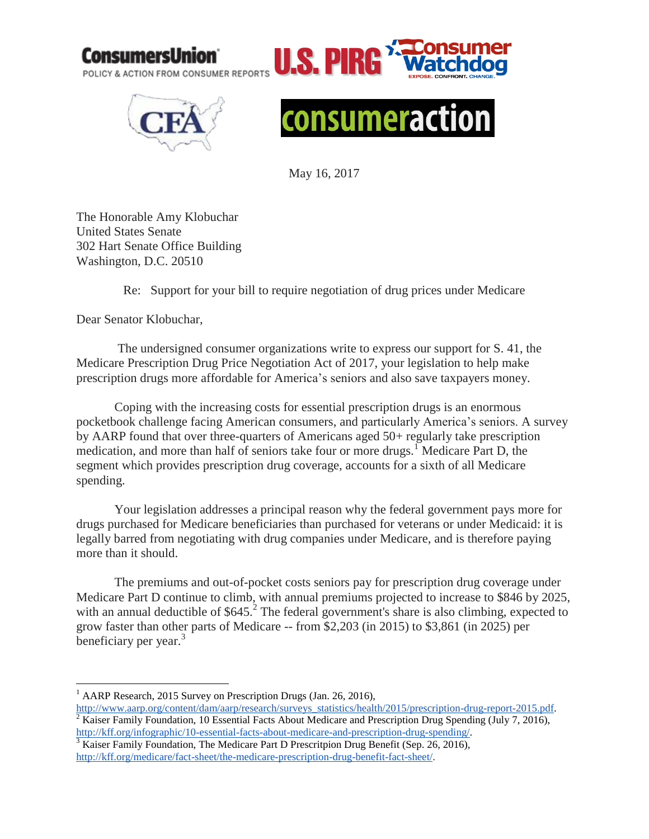

U.S.I POLICY & ACTION FROM CONSUMER REPORTS





May 16, 2017

The Honorable Amy Klobuchar United States Senate 302 Hart Senate Office Building Washington, D.C. 20510

Re: Support for your bill to require negotiation of drug prices under Medicare

Dear Senator Klobuchar,

The undersigned consumer organizations write to express our support for S. 41, the Medicare Prescription Drug Price Negotiation Act of 2017, your legislation to help make prescription drugs more affordable for America's seniors and also save taxpayers money.

Coping with the increasing costs for essential prescription drugs is an enormous pocketbook challenge facing American consumers, and particularly America's seniors. A survey by AARP found that over three-quarters of Americans aged 50+ regularly take prescription medication, and more than half of seniors take four or more drugs.<sup>1</sup> Medicare Part D, the segment which provides prescription drug coverage, accounts for a sixth of all Medicare spending.

Your legislation addresses a principal reason why the federal government pays more for drugs purchased for Medicare beneficiaries than purchased for veterans or under Medicaid: it is legally barred from negotiating with drug companies under Medicare, and is therefore paying more than it should.

The premiums and out-of-pocket costs seniors pay for prescription drug coverage under Medicare Part D continue to climb, with annual premiums projected to increase to \$846 by 2025, with an annual deductible of  $$645.<sup>2</sup>$  The federal government's share is also climbing, expected to grow faster than other parts of Medicare -- from \$2,203 (in 2015) to \$3,861 (in 2025) per beneficiary per year.<sup>3</sup>

 $\overline{a}$ <sup>1</sup> AARP Research, 2015 Survey on Prescription Drugs (Jan. 26, 2016),

[http://www.aarp.org/content/dam/aarp/research/surveys\\_statistics/health/2015/prescription-drug-report-2015.pdf.](http://www.aarp.org/content/dam/aarp/research/surveys_statistics/health/2015/prescription-drug-report-2015.pdf) <sup>2</sup> Kaiser Family Foundation, 10 Essential Facts About Medicare and Prescription Drug Spending (July 7, 2016), [http://kff.org/infographic/10-essential-facts-about-medicare-and-prescription-drug-spending/.](http://kff.org/infographic/10-essential-facts-about-medicare-and-prescription-drug-spending/)

<sup>&</sup>lt;sup>3</sup> Kaiser Family Foundation, The Medicare Part D Prescritpion Drug Benefit (Sep. 26, 2016), [http://kff.org/medicare/fact-sheet/the-medicare-prescription-drug-benefit-fact-sheet/.](http://kff.org/medicare/fact-sheet/the-medicare-prescription-drug-benefit-fact-sheet/)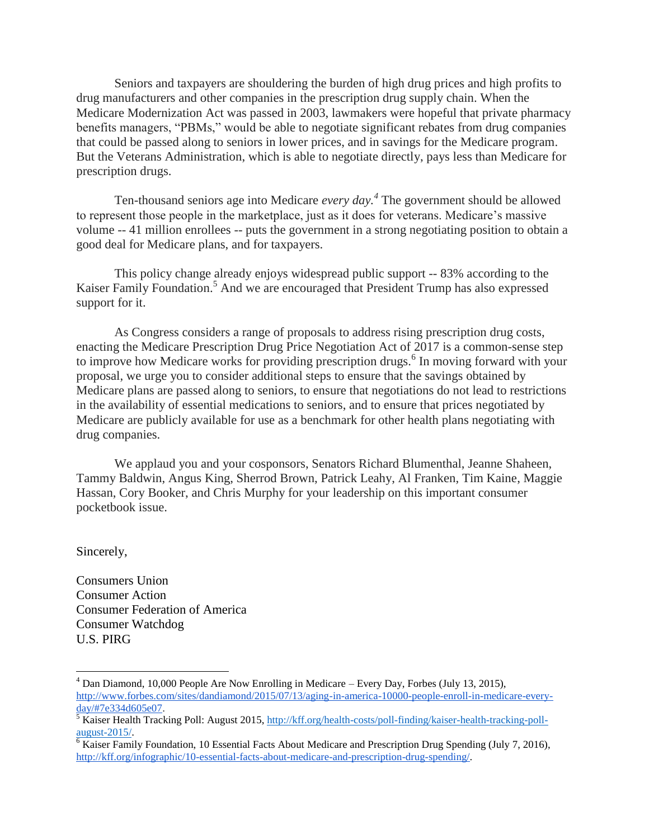Seniors and taxpayers are shouldering the burden of high drug prices and high profits to drug manufacturers and other companies in the prescription drug supply chain. When the Medicare Modernization Act was passed in 2003, lawmakers were hopeful that private pharmacy benefits managers, "PBMs," would be able to negotiate significant rebates from drug companies that could be passed along to seniors in lower prices, and in savings for the Medicare program. But the Veterans Administration, which is able to negotiate directly, pays less than Medicare for prescription drugs.

Ten-thousand seniors age into Medicare *every day.<sup>4</sup>* The government should be allowed to represent those people in the marketplace, just as it does for veterans. Medicare's massive volume -- 41 million enrollees -- puts the government in a strong negotiating position to obtain a good deal for Medicare plans, and for taxpayers.

This policy change already enjoys widespread public support -- 83% according to the Kaiser Family Foundation. <sup>5</sup> And we are encouraged that President Trump has also expressed support for it.

As Congress considers a range of proposals to address rising prescription drug costs, enacting the Medicare Prescription Drug Price Negotiation Act of 2017 is a common-sense step to improve how Medicare works for providing prescription drugs. 6 In moving forward with your proposal, we urge you to consider additional steps to ensure that the savings obtained by Medicare plans are passed along to seniors, to ensure that negotiations do not lead to restrictions in the availability of essential medications to seniors, and to ensure that prices negotiated by Medicare are publicly available for use as a benchmark for other health plans negotiating with drug companies.

We applaud you and your cosponsors, Senators Richard Blumenthal, Jeanne Shaheen, Tammy Baldwin, Angus King, Sherrod Brown, Patrick Leahy, Al Franken, Tim Kaine, Maggie Hassan, Cory Booker, and Chris Murphy for your leadership on this important consumer pocketbook issue.

Sincerely,

 $\overline{a}$ 

Consumers Union Consumer Action Consumer Federation of America Consumer Watchdog U.S. PIRG

 $<sup>4</sup>$  Dan Diamond, 10,000 People Are Now Enrolling in Medicare – Every Day, Forbes (July 13, 2015),</sup> [http://www.forbes.com/sites/dandiamond/2015/07/13/aging-in-america-10000-people-enroll-in-medicare-every](http://www.forbes.com/sites/dandiamond/2015/07/13/aging-in-america-10000-people-enroll-in-medicare-every-day/#7e334d605e07)[day/#7e334d605e07.](http://www.forbes.com/sites/dandiamond/2015/07/13/aging-in-america-10000-people-enroll-in-medicare-every-day/#7e334d605e07)

<sup>&</sup>lt;sup>5</sup> Kaiser Health Tracking Poll: August 2015, [http://kff.org/health-costs/poll-finding/kaiser-health-tracking-poll](http://kff.org/health-costs/poll-finding/kaiser-health-tracking-poll-august-2015/)[august-2015/.](http://kff.org/health-costs/poll-finding/kaiser-health-tracking-poll-august-2015/)

 $6$  Kaiser Family Foundation, 10 Essential Facts About Medicare and Prescription Drug Spending (July 7, 2016), [http://kff.org/infographic/10-essential-facts-about-medicare-and-prescription-drug-spending/.](http://kff.org/infographic/10-essential-facts-about-medicare-and-prescription-drug-spending/)